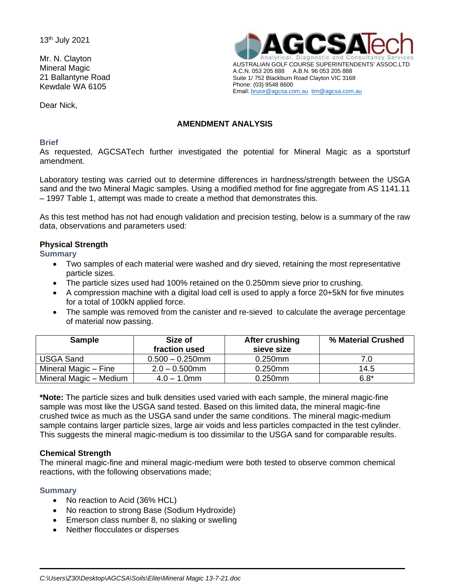13th July 2021

Mr. N. Clayton Mineral Magic 21 Ballantyne Road Kewdale WA 6105

Dear Nick,



# **AMENDMENT ANALYSIS**

#### **Brief**

As requested, AGCSATech further investigated the potential for Mineral Magic as a sportsturf amendment.

Laboratory testing was carried out to determine differences in hardness/strength between the USGA sand and the two Mineral Magic samples. Using a modified method for fine aggregate from AS 1141.11 – 1997 Table 1, attempt was made to create a method that demonstrates this.

As this test method has not had enough validation and precision testing, below is a summary of the raw data, observations and parameters used:

## **Physical Strength**

**Summary**

- Two samples of each material were washed and dry sieved, retaining the most representative particle sizes.
- The particle sizes used had 100% retained on the 0.250mm sieve prior to crushing.
- A compression machine with a digital load cell is used to apply a force 20+5kN for five minutes for a total of 100kN applied force.
- The sample was removed from the canister and re-sieved to calculate the average percentage of material now passing.

| <b>Sample</b>          | Size of<br>fraction used | After crushing<br>sieve size | % Material Crushed |
|------------------------|--------------------------|------------------------------|--------------------|
| <b>USGA Sand</b>       | $0.500 - 0.250$ mm       | $0.250$ mm                   | 7.0                |
| Mineral Magic - Fine   | $2.0 - 0.500$ mm         | $0.250$ mm                   | 14.5               |
| Mineral Magic - Medium | $4.0 - 1.0$ mm           | $0.250$ mm                   | $6.8*$             |

**\*Note:** The particle sizes and bulk densities used varied with each sample, the mineral magic-fine sample was most like the USGA sand tested. Based on this limited data, the mineral magic-fine crushed twice as much as the USGA sand under the same conditions. The mineral magic-medium sample contains larger particle sizes, large air voids and less particles compacted in the test cylinder. This suggests the mineral magic-medium is too dissimilar to the USGA sand for comparable results.

## **Chemical Strength**

The mineral magic-fine and mineral magic-medium were both tested to observe common chemical reactions, with the following observations made;

## **Summary**

- No reaction to Acid (36% HCL)
- No reaction to strong Base (Sodium Hydroxide)
- Emerson class number 8, no slaking or swelling
- Neither flocculates or disperses